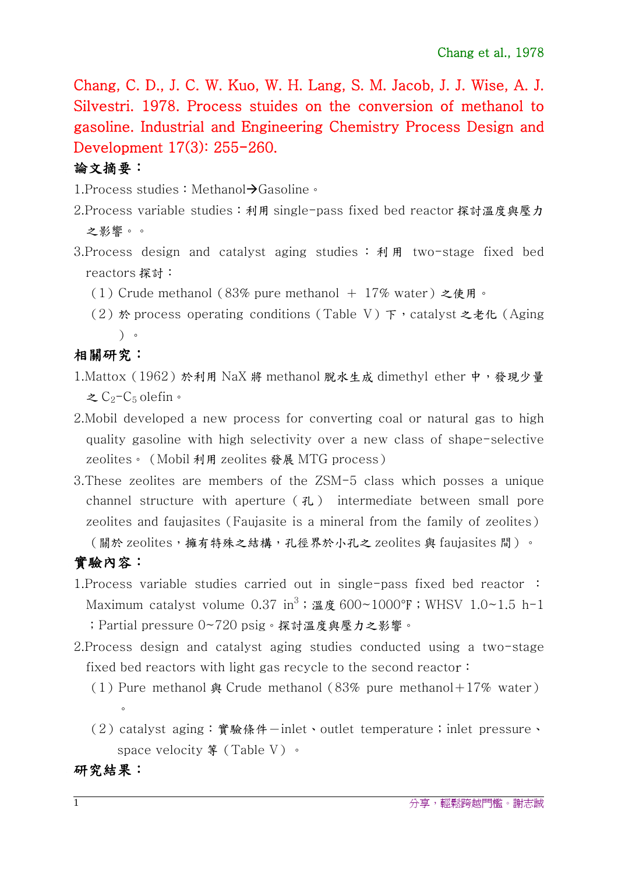Chang, C. D., J. C. W. Kuo, W. H. Lang, S. M. Jacob, J. J. Wise, A. J. Silvestri. 1978. Process stuides on the conversion of methanol to gasoline. Industrial and Engineering Chemistry Process Design and Development 17(3): 255-260.

## 論文摘要:

1. Process studies: Methanol-Gasoline。

- 2.Process variable studies:利用 single-pass fixed bed reactor 探討溫度與壓力 之影響。。
- 3. Process design and catalyst aging studies :  $\hat{A}$   $\hat{H}$  two-stage fixed bed reactors 探討:
	- (1) Crude methanol (83% pure methanol + 17% water) 之使用。
	- (2)於 process operating conditions (Table V) 下, catalyst 之老化 (Aging )。

相關研究:

- 1.Mattox (1962)於利用 NaX 將 methanol 脫水生成 dimethyl ether 中,發現少量  $\zeta$ C<sub>2</sub>-C<sub>5</sub> olefin。
- 2.Mobil developed a new process for converting coal or natural gas to high quality gasoline with high selectivity over a new class of shape-selective zeolites。(Mobil 利用 zeolites 發展 MTG process)
- 3.These zeolites are members of the ZSM-5 class which posses a unique channel structure with aperture (孔) intermediate between small pore zeolites and faujasites(Faujasite is a mineral from the family of zeolites) (關於 zeolites, 擁有特殊之結構,孔徑界於小孔之 zeolites 與 faujasites 間)。

## 實驗內容:

- 1.Process variable studies carried out in single-pass fixed bed reactor : Maximum catalyst volume 0.37 in $^3$ ;溫度 $600{\sim}1000^{\circ}\text{F}$ ;WHSV 1.0~1.5 h-1 ;Partial pressure 0~720 psig。探討溫度與壓力之影響。
- 2.Process design and catalyst aging studies conducted using a two-stage fixed bed reactors with light gas recycle to the second reactor:
	- (1) Pure methanol  $\triangle$  Crude methanol (83% pure methanol+17% water)  $\circ$
	- (2) catalyst aging:實驗條件-inlet、outlet temperature;inlet pressure、 space velocity 等 (Table V) 。

研究結果: